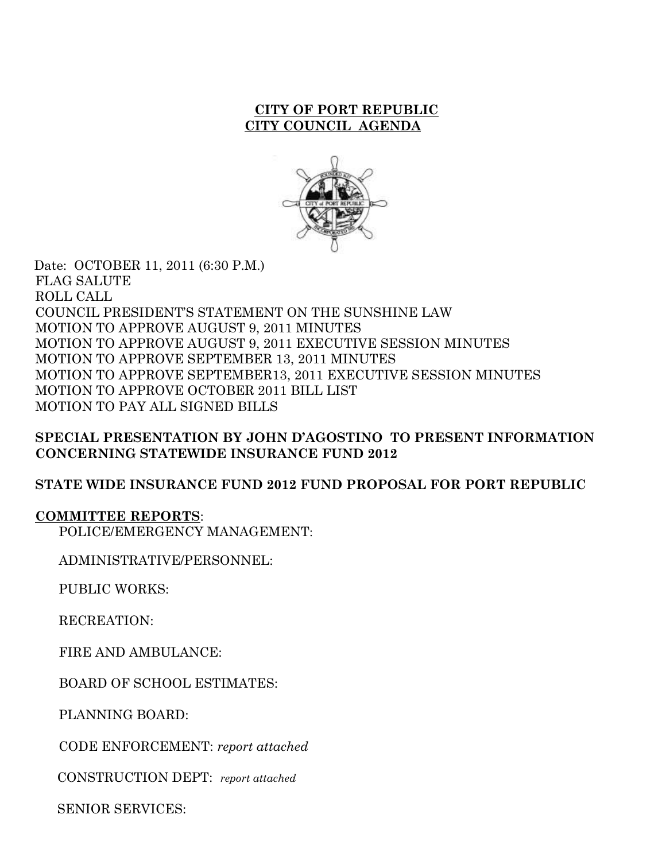#### **CITY OF PORT REPUBLIC CITY COUNCIL AGENDA**



 Date: OCTOBER 11, 2011 (6:30 P.M.) FLAG SALUTE ROLL CALL COUNCIL PRESIDENT'S STATEMENT ON THE SUNSHINE LAW MOTION TO APPROVE AUGUST 9, 2011 MINUTES MOTION TO APPROVE AUGUST 9, 2011 EXECUTIVE SESSION MINUTES MOTION TO APPROVE SEPTEMBER 13, 2011 MINUTES MOTION TO APPROVE SEPTEMBER13, 2011 EXECUTIVE SESSION MINUTES MOTION TO APPROVE OCTOBER 2011 BILL LIST MOTION TO PAY ALL SIGNED BILLS

# **SPECIAL PRESENTATION BY JOHN D'AGOSTINO TO PRESENT INFORMATION CONCERNING STATEWIDE INSURANCE FUND 2012**

# **STATE WIDE INSURANCE FUND 2012 FUND PROPOSAL FOR PORT REPUBLIC**

#### **COMMITTEE REPORTS**:

POLICE/EMERGENCY MANAGEMENT:

ADMINISTRATIVE/PERSONNEL:

PUBLIC WORKS:

RECREATION:

FIRE AND AMBULANCE:

BOARD OF SCHOOL ESTIMATES:

PLANNING BOARD:

CODE ENFORCEMENT: *report attached*

CONSTRUCTION DEPT: *report attached*

SENIOR SERVICES: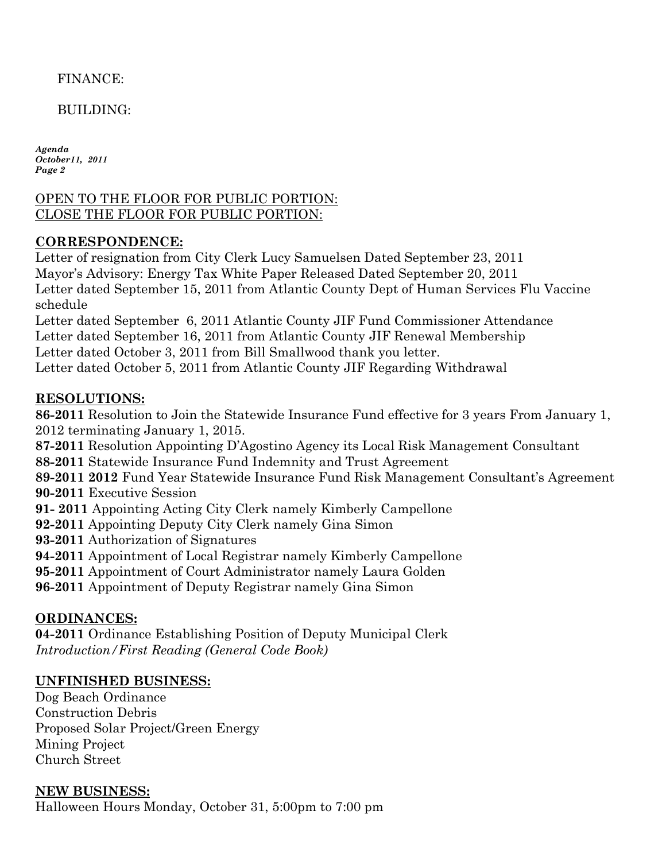FINANCE:

BUILDING:

*Agenda October11, 2011 Page 2*

### OPEN TO THE FLOOR FOR PUBLIC PORTION: CLOSE THE FLOOR FOR PUBLIC PORTION:

# **CORRESPONDENCE:**

Letter of resignation from City Clerk Lucy Samuelsen Dated September 23, 2011 Mayor's Advisory: Energy Tax White Paper Released Dated September 20, 2011 Letter dated September 15, 2011 from Atlantic County Dept of Human Services Flu Vaccine schedule

Letter dated September 6, 2011 Atlantic County JIF Fund Commissioner Attendance Letter dated September 16, 2011 from Atlantic County JIF Renewal Membership Letter dated October 3, 2011 from Bill Smallwood thank you letter. Letter dated October 5, 2011 from Atlantic County JIF Regarding Withdrawal

# **RESOLUTIONS:**

**86-2011** Resolution to Join the Statewide Insurance Fund effective for 3 years From January 1, 2012 terminating January 1, 2015.

**87-2011** Resolution Appointing D'Agostino Agency its Local Risk Management Consultant

**88-2011** Statewide Insurance Fund Indemnity and Trust Agreement

**89-2011 2012** Fund Year Statewide Insurance Fund Risk Management Consultant's Agreement **90-2011** Executive Session

**91- 2011** Appointing Acting City Clerk namely Kimberly Campellone

**92-2011** Appointing Deputy City Clerk namely Gina Simon

**93-2011** Authorization of Signatures

**94-2011** Appointment of Local Registrar namely Kimberly Campellone

**95-2011** Appointment of Court Administrator namely Laura Golden

**96-2011** Appointment of Deputy Registrar namely Gina Simon

# **ORDINANCES:**

**04-2011** Ordinance Establishing Position of Deputy Municipal Clerk *Introduction/First Reading (General Code Book)*

# **UNFINISHED BUSINESS:**

Dog Beach Ordinance Construction Debris Proposed Solar Project/Green Energy Mining Project Church Street

**NEW BUSINESS:** Halloween Hours Monday, October 31, 5:00pm to 7:00 pm